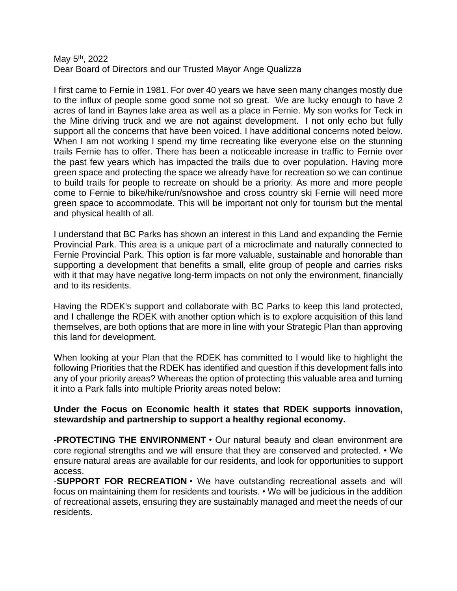## May 5<sup>th</sup>, 2022 Dear Board of Directors and our Trusted Mayor Ange Qualizza

I first came to Fernie in 1981. For over 40 years we have seen many changes mostly due to the influx of people some good some not so great. We are lucky enough to have 2 acres of land in Baynes lake area as well as a place in Fernie. My son works for Teck in the Mine driving truck and we are not against development. I not only echo but fully support all the concerns that have been voiced. I have additional concerns noted below. When I am not working I spend my time recreating like everyone else on the stunning trails Fernie has to offer. There has been a noticeable increase in traffic to Fernie over the past few years which has impacted the trails due to over population. Having more green space and protecting the space we already have for recreation so we can continue to build trails for people to recreate on should be a priority. As more and more people come to Fernie to bike/hike/run/snowshoe and cross country ski Fernie will need more green space to accommodate. This will be important not only for tourism but the mental and physical health of all.

I understand that BC Parks has shown an interest in this Land and expanding the Fernie Provincial Park. This area is a unique part of a microclimate and naturally connected to Fernie Provincial Park. This option is far more valuable, sustainable and honorable than supporting a development that benefits a small, elite group of people and carries risks with it that may have negative long-term impacts on not only the environment, financially and to its residents.

Having the RDEK's support and collaborate with BC Parks to keep this land protected, and I challenge the RDEK with another option which is to explore acquisition of this land themselves, are both options that are more in line with your Strategic Plan than approving this land for development.

When looking at your Plan that the RDEK has committed to I would like to highlight the following Priorities that the RDEK has identified and question if this development falls into any of your priority areas? Whereas the option of protecting this valuable area and turning it into a Park falls into multiple Priority areas noted below:

## **Under the Focus on Economic health it states that RDEK supports innovation, stewardship and partnership to support a healthy regional economy.**

**-PROTECTING THE ENVIRONMENT** • Our natural beauty and clean environment are core regional strengths and we will ensure that they are conserved and protected. • We ensure natural areas are available for our residents, and look for opportunities to support access.

-**SUPPORT FOR RECREATION** • We have outstanding recreational assets and will focus on maintaining them for residents and tourists. • We will be judicious in the addition of recreational assets, ensuring they are sustainably managed and meet the needs of our residents.